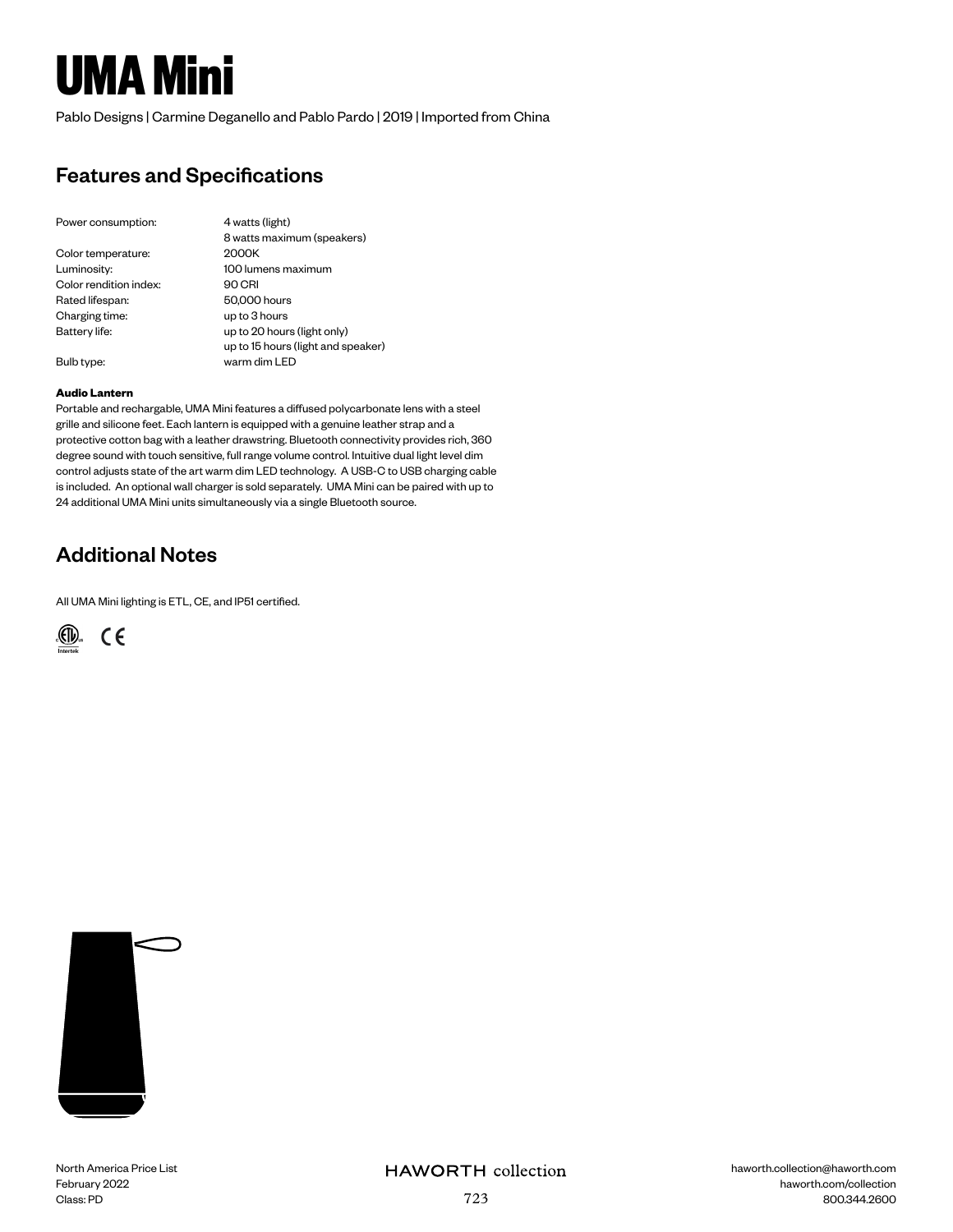# **UMA Mini**

Pablo Designs | Carmine Deganello and Pablo Pardo | 2019 | Imported from China

## Features and Specifications

| Power consumption:     | 4 watts (light)                    |
|------------------------|------------------------------------|
|                        | 8 watts maximum (speakers)         |
| Color temperature:     | 2000K                              |
| Luminosity:            | 100 lumens maximum                 |
| Color rendition index: | 90 CRI                             |
| Rated lifespan:        | 50,000 hours                       |
| Charging time:         | up to 3 hours                      |
| Battery life:          | up to 20 hours (light only)        |
|                        | up to 15 hours (light and speaker) |
| Bulb type:             | warm dim LFD                       |
|                        |                                    |

#### **Audio Lantern**

Portable and rechargable, UMA Mini features a diffused polycarbonate lens with a steel grille and silicone feet. Each lantern is equipped with a genuine leather strap and a protective cotton bag with a leather drawstring. Bluetooth connectivity provides rich, 360 degree sound with touch sensitive, full range volume control. Intuitive dual light level dim control adjusts state of the art warm dim LED technology. A USB-C to USB charging cable is included. An optional wall charger is sold separately. UMA Mini can be paired with up to 24 additional UMA Mini units simultaneously via a single Bluetooth source.

### Additional Notes

All UMA Mini lighting is ETL, CE, and IP51 certified.